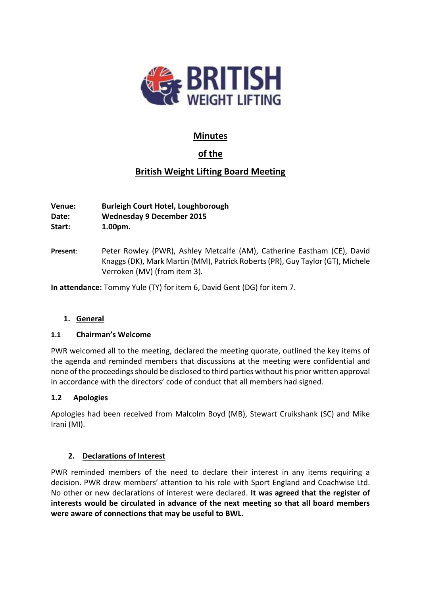

# **Minutes**

# **of the**

# **British Weight Lifting Board Meeting**

**Venue: Burleigh Court Hotel, Loughborough Date: Wednesday 9 December 2015 Start: 1.00pm.**

**Present**: Peter Rowley (PWR), Ashley Metcalfe (AM), Catherine Eastham (CE), David Knaggs (DK), Mark Martin (MM), Patrick Roberts (PR), Guy Taylor (GT), Michele Verroken (MV) (from item 3).

**In attendance:** Tommy Yule (TY) for item 6, David Gent (DG) for item 7.

# **1. General**

# **1.1 Chairman's Welcome**

PWR welcomed all to the meeting, declared the meeting quorate, outlined the key items of the agenda and reminded members that discussions at the meeting were confidential and none of the proceedings should be disclosed to third parties without his prior written approval in accordance with the directors' code of conduct that all members had signed.

# **1.2 Apologies**

Apologies had been received from Malcolm Boyd (MB), Stewart Cruikshank (SC) and Mike Irani (MI).

# **2. Declarations of Interest**

PWR reminded members of the need to declare their interest in any items requiring a decision. PWR drew members' attention to his role with Sport England and Coachwise Ltd. No other or new declarations of interest were declared. **It was agreed that the register of interests would be circulated in advance of the next meeting so that all board members were aware of connections that may be useful to BWL.**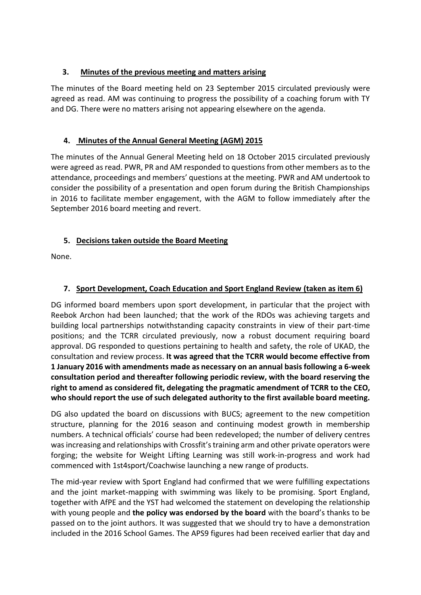# **3. Minutes of the previous meeting and matters arising**

The minutes of the Board meeting held on 23 September 2015 circulated previously were agreed as read. AM was continuing to progress the possibility of a coaching forum with TY and DG. There were no matters arising not appearing elsewhere on the agenda.

# **4. Minutes of the Annual General Meeting (AGM) 2015**

The minutes of the Annual General Meeting held on 18 October 2015 circulated previously were agreed as read. PWR, PR and AM responded to questions from other members as to the attendance, proceedings and members' questions at the meeting. PWR and AM undertook to consider the possibility of a presentation and open forum during the British Championships in 2016 to facilitate member engagement, with the AGM to follow immediately after the September 2016 board meeting and revert.

# **5. Decisions taken outside the Board Meeting**

None.

# **7. Sport Development, Coach Education and Sport England Review (taken as item 6)**

DG informed board members upon sport development, in particular that the project with Reebok Archon had been launched; that the work of the RDOs was achieving targets and building local partnerships notwithstanding capacity constraints in view of their part-time positions; and the TCRR circulated previously, now a robust document requiring board approval. DG responded to questions pertaining to health and safety, the role of UKAD, the consultation and review process. **It was agreed that the TCRR would become effective from 1 January 2016 with amendments made as necessary on an annual basis following a 6-week consultation period and thereafter following periodic review, with the board reserving the right to amend as considered fit, delegating the pragmatic amendment of TCRR to the CEO, who should report the use of such delegated authority to the first available board meeting.** 

DG also updated the board on discussions with BUCS; agreement to the new competition structure, planning for the 2016 season and continuing modest growth in membership numbers. A technical officials' course had been redeveloped; the number of delivery centres was increasing and relationships with Crossfit'straining arm and other private operators were forging; the website for Weight Lifting Learning was still work-in-progress and work had commenced with 1st4sport/Coachwise launching a new range of products.

The mid-year review with Sport England had confirmed that we were fulfilling expectations and the joint market-mapping with swimming was likely to be promising. Sport England, together with AfPE and the YST had welcomed the statement on developing the relationship with young people and **the policy was endorsed by the board** with the board's thanks to be passed on to the joint authors. It was suggested that we should try to have a demonstration included in the 2016 School Games. The APS9 figures had been received earlier that day and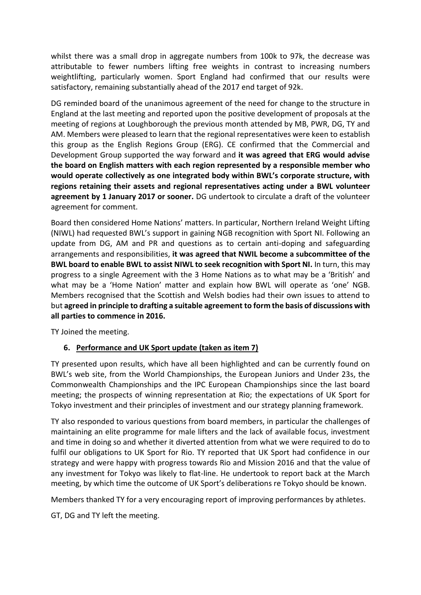whilst there was a small drop in aggregate numbers from 100k to 97k, the decrease was attributable to fewer numbers lifting free weights in contrast to increasing numbers weightlifting, particularly women. Sport England had confirmed that our results were satisfactory, remaining substantially ahead of the 2017 end target of 92k.

DG reminded board of the unanimous agreement of the need for change to the structure in England at the last meeting and reported upon the positive development of proposals at the meeting of regions at Loughborough the previous month attended by MB, PWR, DG, TY and AM. Members were pleased to learn that the regional representatives were keen to establish this group as the English Regions Group (ERG). CE confirmed that the Commercial and Development Group supported the way forward and **it was agreed that ERG would advise the board on English matters with each region represented by a responsible member who would operate collectively as one integrated body within BWL's corporate structure, with regions retaining their assets and regional representatives acting under a BWL volunteer agreement by 1 January 2017 or sooner.** DG undertook to circulate a draft of the volunteer agreement for comment.

Board then considered Home Nations' matters. In particular, Northern Ireland Weight Lifting (NIWL) had requested BWL's support in gaining NGB recognition with Sport NI. Following an update from DG, AM and PR and questions as to certain anti-doping and safeguarding arrangements and responsibilities, **it was agreed that NWIL become a subcommittee of the BWL board to enable BWL to assist NIWL to seek recognition with Sport NI.** In turn, this may progress to a single Agreement with the 3 Home Nations as to what may be a 'British' and what may be a 'Home Nation' matter and explain how BWL will operate as 'one' NGB. Members recognised that the Scottish and Welsh bodies had their own issues to attend to but **agreed in principle to drafting a suitable agreement to form the basis of discussions with all parties to commence in 2016.**

TY Joined the meeting.

# **6. Performance and UK Sport update (taken as item 7)**

TY presented upon results, which have all been highlighted and can be currently found on BWL's web site, from the World Championships, the European Juniors and Under 23s, the Commonwealth Championships and the IPC European Championships since the last board meeting; the prospects of winning representation at Rio; the expectations of UK Sport for Tokyo investment and their principles of investment and our strategy planning framework.

TY also responded to various questions from board members, in particular the challenges of maintaining an elite programme for male lifters and the lack of available focus, investment and time in doing so and whether it diverted attention from what we were required to do to fulfil our obligations to UK Sport for Rio. TY reported that UK Sport had confidence in our strategy and were happy with progress towards Rio and Mission 2016 and that the value of any investment for Tokyo was likely to flat-line. He undertook to report back at the March meeting, by which time the outcome of UK Sport's deliberations re Tokyo should be known.

Members thanked TY for a very encouraging report of improving performances by athletes.

GT, DG and TY left the meeting.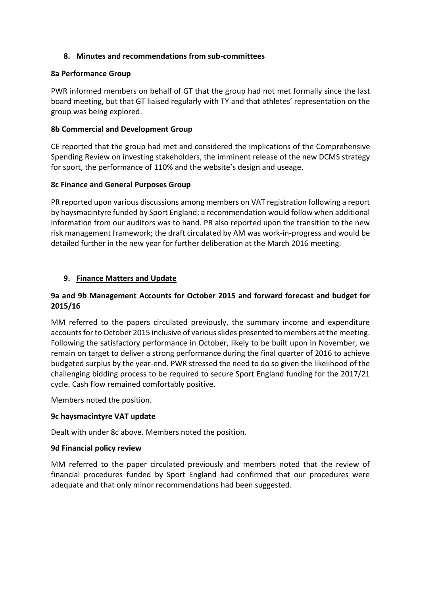# **8. Minutes and recommendations from sub-committees**

#### **8a Performance Group**

PWR informed members on behalf of GT that the group had not met formally since the last board meeting, but that GT liaised regularly with TY and that athletes' representation on the group was being explored.

# **8b Commercial and Development Group**

CE reported that the group had met and considered the implications of the Comprehensive Spending Review on investing stakeholders, the imminent release of the new DCMS strategy for sport, the performance of 110% and the website's design and useage.

# **8c Finance and General Purposes Group**

PR reported upon various discussions among members on VAT registration following a report by haysmacintyre funded by Sport England; a recommendation would follow when additional information from our auditors was to hand. PR also reported upon the transition to the new risk management framework; the draft circulated by AM was work-in-progress and would be detailed further in the new year for further deliberation at the March 2016 meeting.

# **9. Finance Matters and Update**

# **9a and 9b Management Accounts for October 2015 and forward forecast and budget for 2015/16**

MM referred to the papers circulated previously, the summary income and expenditure accounts for to October 2015 inclusive of various slides presented to members at the meeting. Following the satisfactory performance in October, likely to be built upon in November, we remain on target to deliver a strong performance during the final quarter of 2016 to achieve budgeted surplus by the year-end. PWR stressed the need to do so given the likelihood of the challenging bidding process to be required to secure Sport England funding for the 2017/21 cycle. Cash flow remained comfortably positive.

Members noted the position.

# **9c haysmacintyre VAT update**

Dealt with under 8c above. Members noted the position.

# **9d Financial policy review**

MM referred to the paper circulated previously and members noted that the review of financial procedures funded by Sport England had confirmed that our procedures were adequate and that only minor recommendations had been suggested.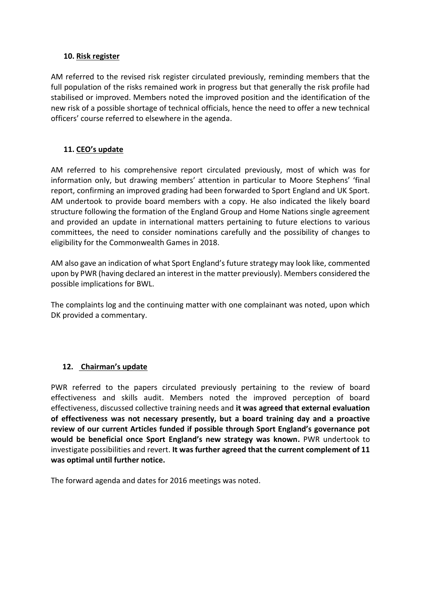#### **10. Risk register**

AM referred to the revised risk register circulated previously, reminding members that the full population of the risks remained work in progress but that generally the risk profile had stabilised or improved. Members noted the improved position and the identification of the new risk of a possible shortage of technical officials, hence the need to offer a new technical officers' course referred to elsewhere in the agenda.

# **11. CEO's update**

AM referred to his comprehensive report circulated previously, most of which was for information only, but drawing members' attention in particular to Moore Stephens' 'final report, confirming an improved grading had been forwarded to Sport England and UK Sport. AM undertook to provide board members with a copy. He also indicated the likely board structure following the formation of the England Group and Home Nations single agreement and provided an update in international matters pertaining to future elections to various committees, the need to consider nominations carefully and the possibility of changes to eligibility for the Commonwealth Games in 2018.

AM also gave an indication of what Sport England's future strategy may look like, commented upon by PWR (having declared an interest in the matter previously). Members considered the possible implications for BWL.

The complaints log and the continuing matter with one complainant was noted, upon which DK provided a commentary.

# **12. Chairman's update**

PWR referred to the papers circulated previously pertaining to the review of board effectiveness and skills audit. Members noted the improved perception of board effectiveness, discussed collective training needs and **it was agreed that external evaluation of effectiveness was not necessary presently, but a board training day and a proactive review of our current Articles funded if possible through Sport England's governance pot would be beneficial once Sport England's new strategy was known.** PWR undertook to investigate possibilities and revert. **It was further agreed that the current complement of 11 was optimal until further notice.**

The forward agenda and dates for 2016 meetings was noted.